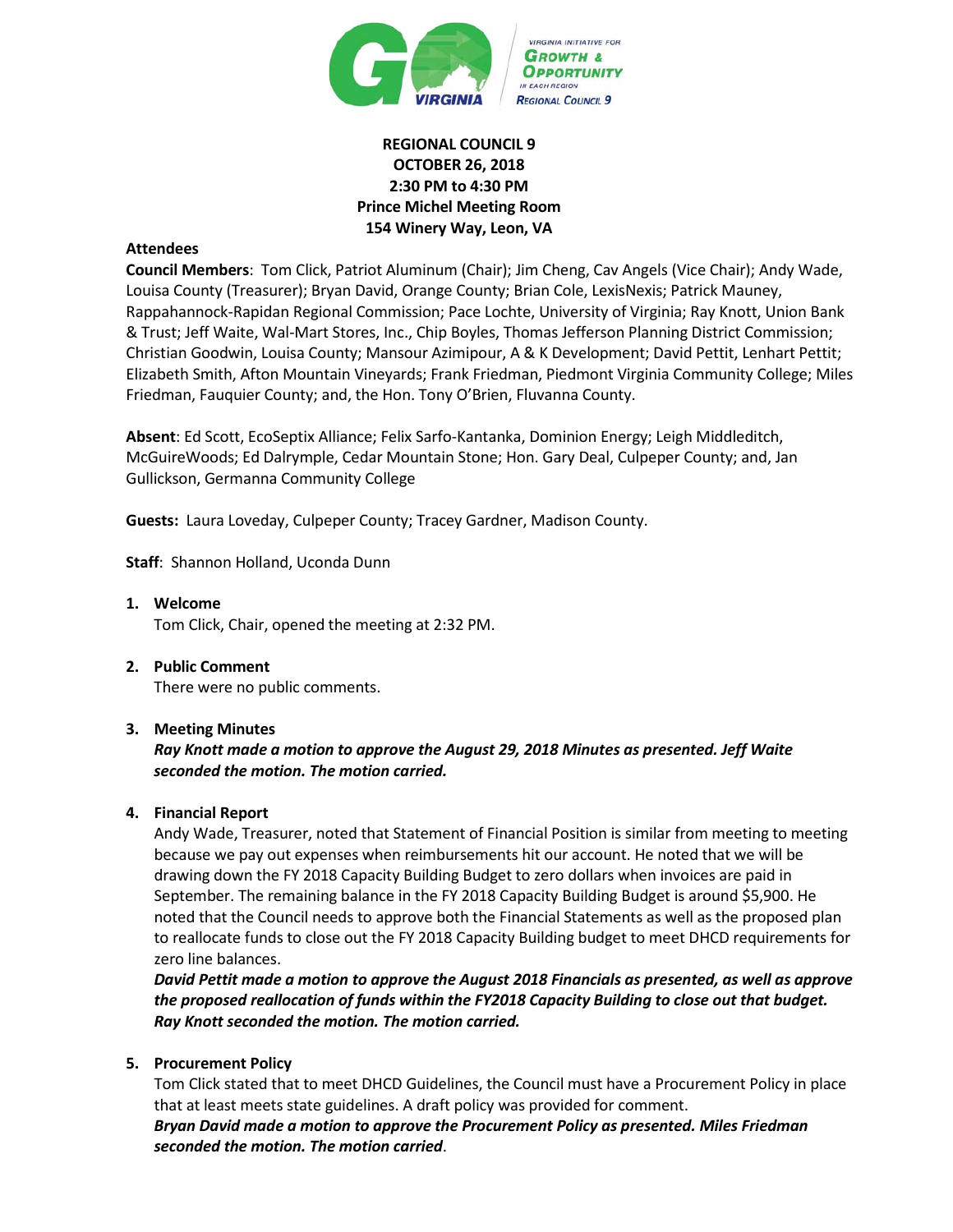

# **REGIONAL COUNCIL 9 OCTOBER 26, 2018 2:30 PM to 4:30 PM Prince Michel Meeting Room 154 Winery Way, Leon, VA**

# **Attendees**

**Council Members**: Tom Click, Patriot Aluminum (Chair); Jim Cheng, Cav Angels (Vice Chair); Andy Wade, Louisa County (Treasurer); Bryan David, Orange County; Brian Cole, LexisNexis; Patrick Mauney, Rappahannock-Rapidan Regional Commission; Pace Lochte, University of Virginia; Ray Knott, Union Bank & Trust; Jeff Waite, Wal-Mart Stores, Inc., Chip Boyles, Thomas Jefferson Planning District Commission; Christian Goodwin, Louisa County; Mansour Azimipour, A & K Development; David Pettit, Lenhart Pettit; Elizabeth Smith, Afton Mountain Vineyards; Frank Friedman, Piedmont Virginia Community College; Miles Friedman, Fauquier County; and, the Hon. Tony O'Brien, Fluvanna County.

**Absent**: Ed Scott, EcoSeptix Alliance; Felix Sarfo-Kantanka, Dominion Energy; Leigh Middleditch, McGuireWoods; Ed Dalrymple, Cedar Mountain Stone; Hon. Gary Deal, Culpeper County; and, Jan Gullickson, Germanna Community College

**Guests:** Laura Loveday, Culpeper County; Tracey Gardner, Madison County.

**Staff**: Shannon Holland, Uconda Dunn

- **1. Welcome** Tom Click, Chair, opened the meeting at 2:32 PM.
- **2. Public Comment** There were no public comments.

#### **3. Meeting Minutes**

## *Ray Knott made a motion to approve the August 29, 2018 Minutes as presented. Jeff Waite seconded the motion. The motion carried.*

#### **4. Financial Report**

Andy Wade, Treasurer, noted that Statement of Financial Position is similar from meeting to meeting because we pay out expenses when reimbursements hit our account. He noted that we will be drawing down the FY 2018 Capacity Building Budget to zero dollars when invoices are paid in September. The remaining balance in the FY 2018 Capacity Building Budget is around \$5,900. He noted that the Council needs to approve both the Financial Statements as well as the proposed plan to reallocate funds to close out the FY 2018 Capacity Building budget to meet DHCD requirements for zero line balances.

*David Pettit made a motion to approve the August 2018 Financials as presented, as well as approve the proposed reallocation of funds within the FY2018 Capacity Building to close out that budget. Ray Knott seconded the motion. The motion carried.*

#### **5. Procurement Policy**

Tom Click stated that to meet DHCD Guidelines, the Council must have a Procurement Policy in place that at least meets state guidelines. A draft policy was provided for comment.

*Bryan David made a motion to approve the Procurement Policy as presented. Miles Friedman seconded the motion. The motion carried*.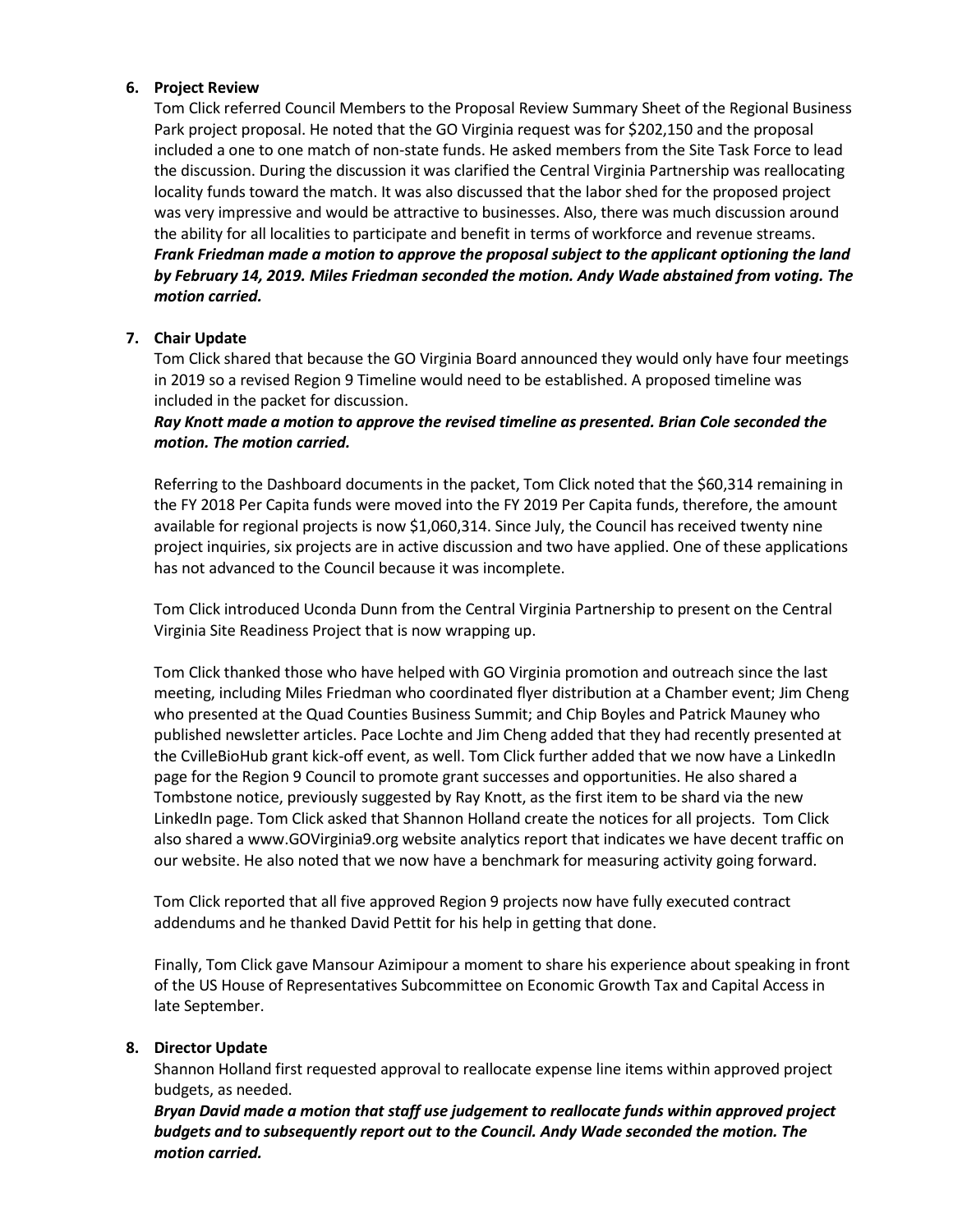## **6. Project Review**

Tom Click referred Council Members to the Proposal Review Summary Sheet of the Regional Business Park project proposal. He noted that the GO Virginia request was for \$202,150 and the proposal included a one to one match of non-state funds. He asked members from the Site Task Force to lead the discussion. During the discussion it was clarified the Central Virginia Partnership was reallocating locality funds toward the match. It was also discussed that the labor shed for the proposed project was very impressive and would be attractive to businesses. Also, there was much discussion around the ability for all localities to participate and benefit in terms of workforce and revenue streams. *Frank Friedman made a motion to approve the proposal subject to the applicant optioning the land by February 14, 2019. Miles Friedman seconded the motion. Andy Wade abstained from voting. The motion carried.*

## **7. Chair Update**

Tom Click shared that because the GO Virginia Board announced they would only have four meetings in 2019 so a revised Region 9 Timeline would need to be established. A proposed timeline was included in the packet for discussion.

# *Ray Knott made a motion to approve the revised timeline as presented. Brian Cole seconded the motion. The motion carried.*

Referring to the Dashboard documents in the packet, Tom Click noted that the \$60,314 remaining in the FY 2018 Per Capita funds were moved into the FY 2019 Per Capita funds, therefore, the amount available for regional projects is now \$1,060,314. Since July, the Council has received twenty nine project inquiries, six projects are in active discussion and two have applied. One of these applications has not advanced to the Council because it was incomplete.

Tom Click introduced Uconda Dunn from the Central Virginia Partnership to present on the Central Virginia Site Readiness Project that is now wrapping up.

Tom Click thanked those who have helped with GO Virginia promotion and outreach since the last meeting, including Miles Friedman who coordinated flyer distribution at a Chamber event; Jim Cheng who presented at the Quad Counties Business Summit; and Chip Boyles and Patrick Mauney who published newsletter articles. Pace Lochte and Jim Cheng added that they had recently presented at the CvilleBioHub grant kick-off event, as well. Tom Click further added that we now have a LinkedIn page for the Region 9 Council to promote grant successes and opportunities. He also shared a Tombstone notice, previously suggested by Ray Knott, as the first item to be shard via the new LinkedIn page. Tom Click asked that Shannon Holland create the notices for all projects. Tom Click also shared a www.GOVirginia9.org website analytics report that indicates we have decent traffic on our website. He also noted that we now have a benchmark for measuring activity going forward.

Tom Click reported that all five approved Region 9 projects now have fully executed contract addendums and he thanked David Pettit for his help in getting that done.

Finally, Tom Click gave Mansour Azimipour a moment to share his experience about speaking in front of the US House of Representatives Subcommittee on Economic Growth Tax and Capital Access in late September.

## **8. Director Update**

Shannon Holland first requested approval to reallocate expense line items within approved project budgets, as needed.

*Bryan David made a motion that staff use judgement to reallocate funds within approved project budgets and to subsequently report out to the Council. Andy Wade seconded the motion. The motion carried.*